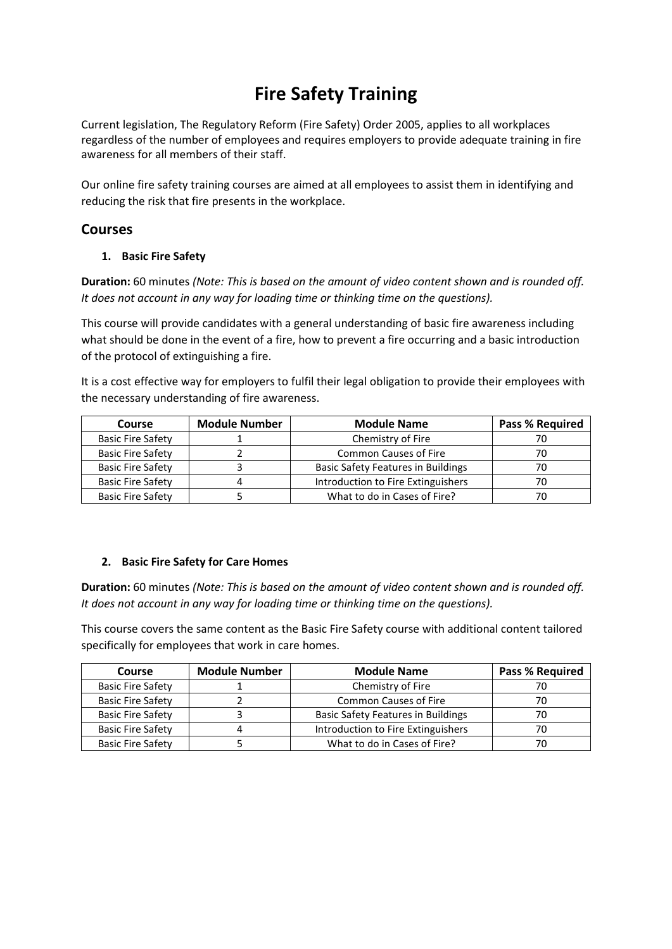# **Fire Safety Training**

Current legislation, The Regulatory Reform (Fire Safety) Order 2005, applies to all workplaces regardless of the number of employees and requires employers to provide adequate training in fire awareness for all members of their staff.

Our online fire safety training courses are aimed at all employees to assist them in identifying and reducing the risk that fire presents in the workplace.

# **Courses**

# **1. Basic Fire Safety**

**Duration:** 60 minutes *(Note: This is based on the amount of video content shown and is rounded off. It does not account in any way for loading time or thinking time on the questions).*

This course will provide candidates with a general understanding of basic fire awareness including what should be done in the event of a fire, how to prevent a fire occurring and a basic introduction of the protocol of extinguishing a fire.

It is a cost effective way for employers to fulfil their legal obligation to provide their employees with the necessary understanding of fire awareness.

| Course                   | <b>Module Number</b> | <b>Module Name</b>                        | Pass % Required |
|--------------------------|----------------------|-------------------------------------------|-----------------|
| <b>Basic Fire Safety</b> |                      | Chemistry of Fire                         |                 |
| <b>Basic Fire Safety</b> |                      | <b>Common Causes of Fire</b>              | 70              |
| <b>Basic Fire Safety</b> |                      | <b>Basic Safety Features in Buildings</b> | 70              |
| <b>Basic Fire Safety</b> |                      | Introduction to Fire Extinguishers        | 70              |
| <b>Basic Fire Safety</b> |                      | What to do in Cases of Fire?              |                 |

# **2. Basic Fire Safety for Care Homes**

**Duration:** 60 minutes *(Note: This is based on the amount of video content shown and is rounded off. It does not account in any way for loading time or thinking time on the questions).*

This course covers the same content as the Basic Fire Safety course with additional content tailored specifically for employees that work in care homes.

| <b>Course</b>            | <b>Module Number</b> | <b>Module Name</b>                        | <b>Pass % Required</b> |
|--------------------------|----------------------|-------------------------------------------|------------------------|
| <b>Basic Fire Safety</b> |                      | Chemistry of Fire                         |                        |
| <b>Basic Fire Safety</b> |                      | Common Causes of Fire                     | 70                     |
| <b>Basic Fire Safety</b> |                      | <b>Basic Safety Features in Buildings</b> |                        |
| <b>Basic Fire Safety</b> |                      | Introduction to Fire Extinguishers        | 70                     |
| <b>Basic Fire Safety</b> |                      | What to do in Cases of Fire?              |                        |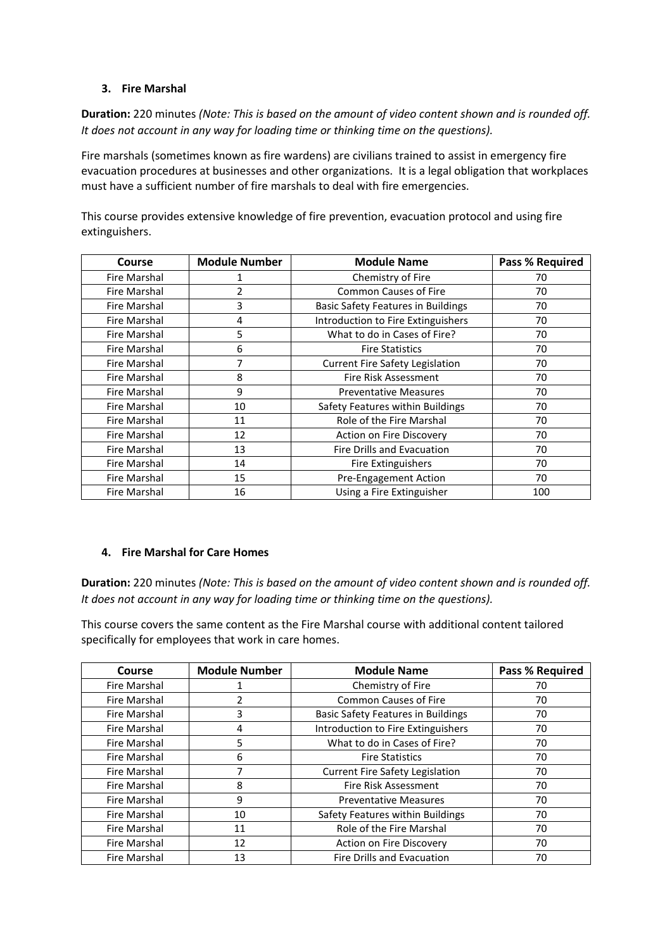#### **3. Fire Marshal**

**Duration:** 220 minutes *(Note: This is based on the amount of video content shown and is rounded off. It does not account in any way for loading time or thinking time on the questions).*

Fire marshals (sometimes known as fire wardens) are civilians trained to assist in emergency fire evacuation procedures at businesses and other organizations. It is a legal obligation that workplaces must have a sufficient number of fire marshals to deal with fire emergencies.

This course provides extensive knowledge of fire prevention, evacuation protocol and using fire extinguishers.

| <b>Course</b>       | <b>Module Number</b> | <b>Module Name</b>                        | <b>Pass % Required</b> |
|---------------------|----------------------|-------------------------------------------|------------------------|
| <b>Fire Marshal</b> |                      | Chemistry of Fire                         | 70                     |
| Fire Marshal        | 2                    | <b>Common Causes of Fire</b>              | 70                     |
| Fire Marshal        | 3                    | <b>Basic Safety Features in Buildings</b> | 70                     |
| <b>Fire Marshal</b> | 4                    | Introduction to Fire Extinguishers        | 70                     |
| Fire Marshal        | 5                    | What to do in Cases of Fire?              | 70                     |
| Fire Marshal        | 6                    | <b>Fire Statistics</b>                    | 70                     |
| Fire Marshal        |                      | <b>Current Fire Safety Legislation</b>    | 70                     |
| Fire Marshal        | 8                    | Fire Risk Assessment                      | 70                     |
| Fire Marshal        | 9                    | <b>Preventative Measures</b>              | 70                     |
| Fire Marshal        | 10                   | Safety Features within Buildings          | 70                     |
| Fire Marshal        | 11                   | Role of the Fire Marshal                  | 70                     |
| Fire Marshal        | 12                   | Action on Fire Discovery                  | 70                     |
| Fire Marshal        | 13                   | Fire Drills and Evacuation                | 70                     |
| Fire Marshal        | 14                   | <b>Fire Extinguishers</b>                 | 70                     |
| Fire Marshal        | 15                   | Pre-Engagement Action                     | 70                     |
| Fire Marshal        | 16                   | Using a Fire Extinguisher                 | 100                    |

# **4. Fire Marshal for Care Homes**

**Duration:** 220 minutes *(Note: This is based on the amount of video content shown and is rounded off. It does not account in any way for loading time or thinking time on the questions).*

This course covers the same content as the Fire Marshal course with additional content tailored specifically for employees that work in care homes.

| Course              | <b>Module Number</b> | <b>Module Name</b>                        | <b>Pass % Required</b> |
|---------------------|----------------------|-------------------------------------------|------------------------|
| <b>Fire Marshal</b> |                      | Chemistry of Fire                         | 70                     |
| <b>Fire Marshal</b> |                      | <b>Common Causes of Fire</b>              | 70                     |
| <b>Fire Marshal</b> | 3                    | <b>Basic Safety Features in Buildings</b> | 70                     |
| Fire Marshal        | 4                    | Introduction to Fire Extinguishers        | 70                     |
| <b>Fire Marshal</b> | 5                    | What to do in Cases of Fire?              | 70                     |
| <b>Fire Marshal</b> | 6                    | <b>Fire Statistics</b>                    | 70                     |
| Fire Marshal        |                      | <b>Current Fire Safety Legislation</b>    | 70                     |
| <b>Fire Marshal</b> | 8                    | Fire Risk Assessment                      | 70                     |
| <b>Fire Marshal</b> | 9                    | <b>Preventative Measures</b>              | 70                     |
| Fire Marshal        | 10                   | Safety Features within Buildings          | 70                     |
| Fire Marshal        | 11                   | Role of the Fire Marshal                  | 70                     |
| <b>Fire Marshal</b> | 12                   | Action on Fire Discovery                  | 70                     |
| Fire Marshal        | 13                   | Fire Drills and Evacuation                | 70                     |